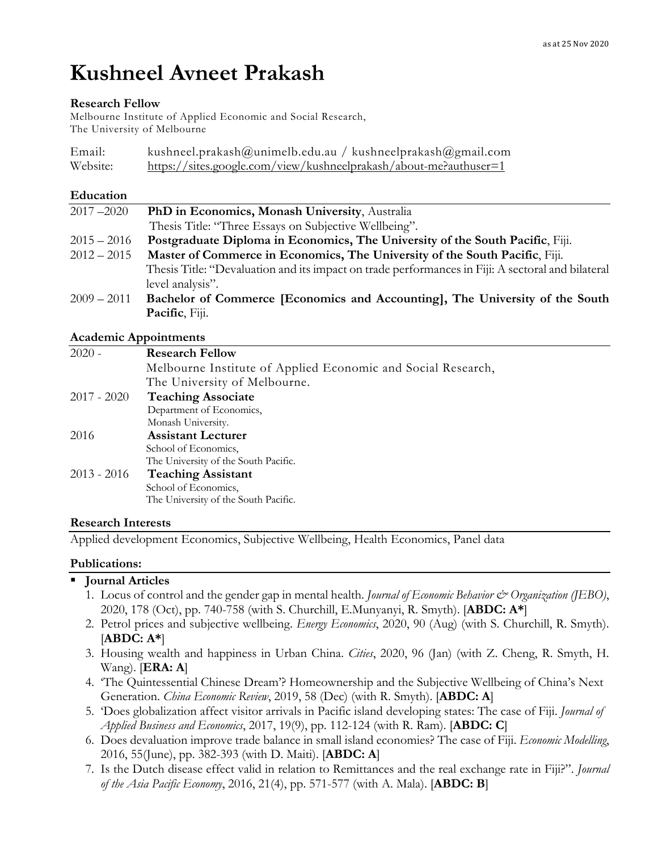# **Kushneel Avneet Prakash**

#### **Research Fellow**

Melbourne Institute of Applied Economic and Social Research, The University of Melbourne

| Email:   | kushneel.prakash@unimelb.edu.au / kushneelprakash@gmail.com       |  |
|----------|-------------------------------------------------------------------|--|
| Website: | https://sites.google.com/view/kushneelprakash/about-me?authuser=1 |  |

#### **Education**

| $2017 - 2020$ | PhD in Economics, Monash University, Australia                                                    |
|---------------|---------------------------------------------------------------------------------------------------|
|               | Thesis Title: "Three Essays on Subjective Wellbeing".                                             |
| $2015 - 2016$ | Postgraduate Diploma in Economics, The University of the South Pacific, Fiji.                     |
| $2012 - 2015$ | Master of Commerce in Economics, The University of the South Pacific, Fiji.                       |
|               | Thesis Title: "Devaluation and its impact on trade performances in Fiji: A sectoral and bilateral |
|               | level analysis".                                                                                  |
| $2009 - 2011$ | Bachelor of Commerce [Economics and Accounting], The University of the South                      |
|               | Pacific, Fiji.                                                                                    |

## **Academic Appointments**

| $2020 -$      | <b>Research Fellow</b>                                       |
|---------------|--------------------------------------------------------------|
|               | Melbourne Institute of Applied Economic and Social Research, |
|               | The University of Melbourne.                                 |
| $2017 - 2020$ | <b>Teaching Associate</b>                                    |
|               | Department of Economics,                                     |
|               | Monash University.                                           |
| 2016          | <b>Assistant Lecturer</b>                                    |
|               | School of Economics.                                         |
|               | The University of the South Pacific.                         |
| 2013 - 2016   | <b>Teaching Assistant</b>                                    |
|               | School of Economics,                                         |
|               | The University of the South Pacific.                         |
|               |                                                              |

#### **Research Interests**

Applied development Economics, Subjective Wellbeing, Health Economics, Panel data

## **Publications:**

## § **Journal Articles**

- 1. Locus of control and the gender gap in mental health. *Journal of Economic Behavior & Organization (JEBO)*, 2020, 178 (Oct), pp. 740-758 (with S. Churchill, E.Munyanyi, R. Smyth). [**ABDC: A\***]
- 2. Petrol prices and subjective wellbeing. *Energy Economics*, 2020, 90 (Aug) (with S. Churchill, R. Smyth). [**ABDC: A\***]
- 3. Housing wealth and happiness in Urban China. *Cities*, 2020, 96 (Jan) (with Z. Cheng, R. Smyth, H. Wang). [**ERA: A**]
- 4. 'The Quintessential Chinese Dream'? Homeownership and the Subjective Wellbeing of China's Next Generation. *China Economic Review*, 2019, 58 (Dec) (with R. Smyth). [**ABDC: A**]
- 5. 'Does globalization affect visitor arrivals in Pacific island developing states: The case of Fiji. *Journal of Applied Business and Economics*, 2017, 19(9), pp. 112-124 (with R. Ram). [**ABDC: C**]
- 6. Does devaluation improve trade balance in small island economies? The case of Fiji. *Economic Modelling*, 2016, 55(June), pp. 382-393 (with D. Maiti). [**ABDC: A**]
- 7. Is the Dutch disease effect valid in relation to Remittances and the real exchange rate in Fiji?". *Journal of the Asia Pacific Economy*, 2016, 21(4), pp. 571-577 (with A. Mala). [**ABDC: B**]